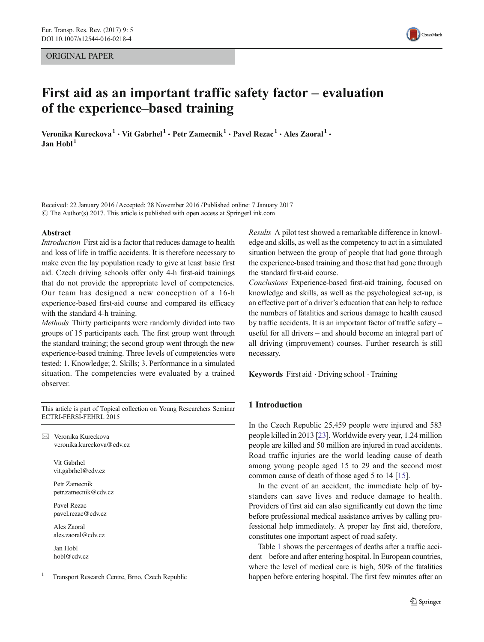## ORIGINAL PAPER



# First aid as an important traffic safety factor – evaluation of the experience–based training

Veronika Kureckova<sup>1</sup> • Vit Gabrhel<sup>1</sup> • Petr Zamecnik<sup>1</sup> • Pavel Rezac<sup>1</sup> • Ales Zaoral<sup>1</sup> •  $Jan$  Hobl $<sup>1</sup>$ </sup>

Received: 22 January 2016 /Accepted: 28 November 2016 /Published online: 7 January 2017  $\odot$  The Author(s) 2017. This article is published with open access at SpringerLink.com

#### Abstract

Introduction First aid is a factor that reduces damage to health and loss of life in traffic accidents. It is therefore necessary to make even the lay population ready to give at least basic first aid. Czech driving schools offer only 4-h first-aid trainings that do not provide the appropriate level of competencies. Our team has designed a new conception of a 16-h experience-based first-aid course and compared its efficacy with the standard 4-h training.

Methods Thirty participants were randomly divided into two groups of 15 participants each. The first group went through the standard training; the second group went through the new experience-based training. Three levels of competencies were tested: 1. Knowledge; 2. Skills; 3. Performance in a simulated situation. The competencies were evaluated by a trained observer.

This article is part of Topical collection on Young Researchers Seminar ECTRI-FERSI-FEHRL 2015

 $\boxtimes$  Veronika Kureckova veronika.kureckova@cdv.cz

> Vit Gabrhel vit.gabrhel@cdv.cz

Petr Zamecnik petr.zamecnik@cdv.cz

Pavel Rezac pavel.rezac@cdv.cz

Ales Zaoral ales.zaoral@cdv.cz

Jan Hobl hobl@cdv.cz

Transport Research Centre, Brno, Czech Republic

Results A pilot test showed a remarkable difference in knowledge and skills, as well as the competency to act in a simulated situation between the group of people that had gone through the experience-based training and those that had gone through the standard first-aid course.

Conclusions Experience-based first-aid training, focused on knowledge and skills, as well as the psychological set-up, is an effective part of a driver's education that can help to reduce the numbers of fatalities and serious damage to health caused by traffic accidents. It is an important factor of traffic safety – useful for all drivers – and should become an integral part of all driving (improvement) courses. Further research is still necessary.

Keywords First aid . Driving school . Training

## 1 Introduction

In the Czech Republic 25,459 people were injured and 583 people killed in 2013 [[23](#page-7-0)]. Worldwide every year, 1.24 million people are killed and 50 million are injured in road accidents. Road traffic injuries are the world leading cause of death among young people aged 15 to 29 and the second most common cause of death of those aged 5 to 14 [[15](#page-7-0)].

In the event of an accident, the immediate help of bystanders can save lives and reduce damage to health. Providers of first aid can also significantly cut down the time before professional medical assistance arrives by calling professional help immediately. A proper lay first aid, therefore, constitutes one important aspect of road safety.

Table [1](#page-1-0) shows the percentages of deaths after a traffic accident – before and after entering hospital. In European countries, where the level of medical care is high, 50% of the fatalities happen before entering hospital. The first few minutes after an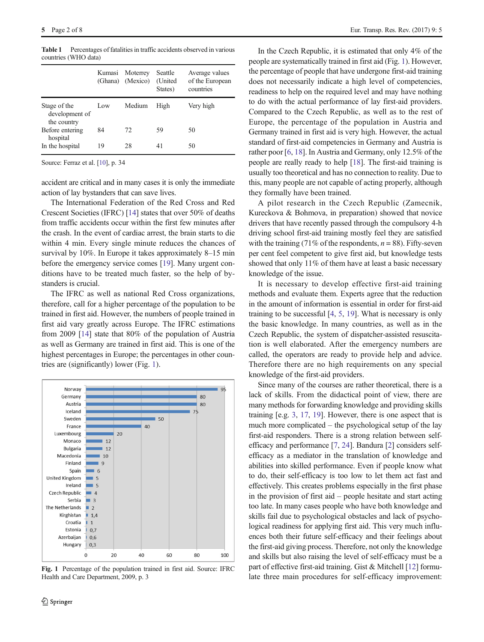|                                               | Kumasi<br>(Ghana) | Moterrey<br>(Mexico) | Seattle<br>(United)<br>States) | Average values<br>of the European<br>countries |
|-----------------------------------------------|-------------------|----------------------|--------------------------------|------------------------------------------------|
|                                               |                   |                      |                                |                                                |
| Stage of the<br>development of<br>the country | Low               | Medium               | High                           | Very high                                      |
| Before entering<br>hospital                   | 84                | 72                   | 59                             | 50                                             |
| In the hospital                               | 19                | 28                   | 41                             | 50                                             |

<span id="page-1-0"></span>Table 1 Percentages of fatalities in traffic accidents observed in various countries (WHO data)

Source: Ferraz et al. [\[10](#page-7-0)], p. 34

accident are critical and in many cases it is only the immediate action of lay bystanders that can save lives.

The International Federation of the Red Cross and Red Crescent Societies (IFRC) [[14\]](#page-7-0) states that over 50% of deaths from traffic accidents occur within the first few minutes after the crash. In the event of cardiac arrest, the brain starts to die within 4 min. Every single minute reduces the chances of survival by 10%. In Europe it takes approximately 8–15 min before the emergency service comes [\[19\]](#page-7-0). Many urgent conditions have to be treated much faster, so the help of bystanders is crucial.

The IFRC as well as national Red Cross organizations, therefore, call for a higher percentage of the population to be trained in first aid. However, the numbers of people trained in first aid vary greatly across Europe. The IFRC estimations from 2009 [[14\]](#page-7-0) state that 80% of the population of Austria as well as Germany are trained in first aid. This is one of the highest percentages in Europe; the percentages in other countries are (significantly) lower (Fig. 1).



Fig. 1 Percentage of the population trained in first aid. Source: IFRC Health and Care Department, 2009, p. 3

In the Czech Republic, it is estimated that only 4% of the people are systematically trained in first aid (Fig. 1). However, the percentage of people that have undergone first-aid training does not necessarily indicate a high level of competencies, readiness to help on the required level and may have nothing to do with the actual performance of lay first-aid providers. Compared to the Czech Republic, as well as to the rest of Europe, the percentage of the population in Austria and Germany trained in first aid is very high. However, the actual standard of first-aid competencies in Germany and Austria is rather poor [\[6](#page-7-0), [18](#page-7-0)]. In Austria and Germany, only 12.5% of the people are really ready to help [\[18\]](#page-7-0). The first-aid training is usually too theoretical and has no connection to reality. Due to this, many people are not capable of acting properly, although they formally have been trained.

A pilot research in the Czech Republic (Zamecnik, Kureckova & Bohmova, in preparation) showed that novice drivers that have recently passed through the compulsory 4-h driving school first-aid training mostly feel they are satisfied with the training (71% of the respondents,  $n = 88$ ). Fifty-seven per cent feel competent to give first aid, but knowledge tests showed that only 11% of them have at least a basic necessary knowledge of the issue.

It is necessary to develop effective first-aid training methods and evaluate them. Experts agree that the reduction in the amount of information is essential in order for first-aid training to be successful [\[4](#page-7-0), [5](#page-7-0), [19](#page-7-0)]. What is necessary is only the basic knowledge. In many countries, as well as in the Czech Republic, the system of dispatcher-assisted resuscitation is well elaborated. After the emergency numbers are called, the operators are ready to provide help and advice. Therefore there are no high requirements on any special knowledge of the first-aid providers.

Since many of the courses are rather theoretical, there is a lack of skills. From the didactical point of view, there are many methods for forwarding knowledge and providing skills training [e.g. [3](#page-7-0), [17,](#page-7-0) [19\]](#page-7-0). However, there is one aspect that is much more complicated – the psychological setup of the lay first-aid responders. There is a strong relation between selfefficacy and performance [[7,](#page-7-0) [24\]](#page-7-0). Bandura [\[2](#page-7-0)] considers selfefficacy as a mediator in the translation of knowledge and abilities into skilled performance. Even if people know what to do, their self-efficacy is too low to let them act fast and effectively. This creates problems especially in the first phase in the provision of first aid – people hesitate and start acting too late. In many cases people who have both knowledge and skills fail due to psychological obstacles and lack of psychological readiness for applying first aid. This very much influences both their future self-efficacy and their feelings about the first-aid giving process. Therefore, not only the knowledge and skills but also raising the level of self-efficacy must be a part of effective first-aid training. Gist & Mitchell [\[12\]](#page-7-0) formulate three main procedures for self-efficacy improvement: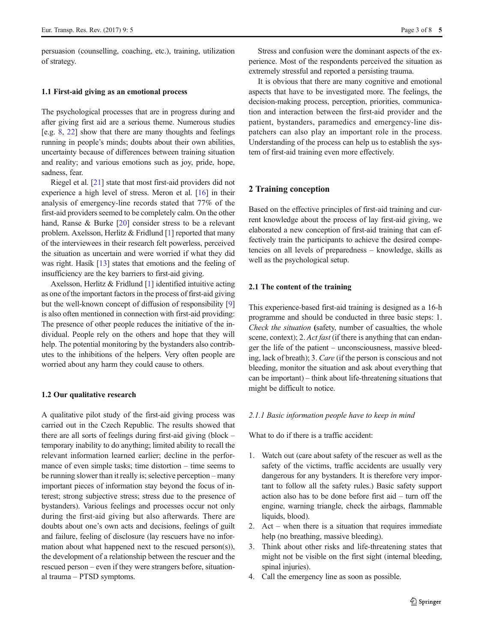persuasion (counselling, coaching, etc.), training, utilization of strategy.

## 1.1 First-aid giving as an emotional process

The psychological processes that are in progress during and after giving first aid are a serious theme. Numerous studies [e.g. [8,](#page-7-0) [22](#page-7-0)] show that there are many thoughts and feelings running in people's minds; doubts about their own abilities, uncertainty because of differences between training situation and reality; and various emotions such as joy, pride, hope, sadness, fear.

Riegel et al. [\[21\]](#page-7-0) state that most first-aid providers did not experience a high level of stress. Meron et al. [[16](#page-7-0)] in their analysis of emergency-line records stated that 77% of the first-aid providers seemed to be completely calm. On the other hand, Ranse & Burke [\[20](#page-7-0)] consider stress to be a relevant problem. Axelsson, Herlitz & Fridlund [\[1](#page-7-0)] reported that many of the interviewees in their research felt powerless, perceived the situation as uncertain and were worried if what they did was right. Hasík [\[13\]](#page-7-0) states that emotions and the feeling of insufficiency are the key barriers to first-aid giving.

Axelsson, Herlitz & Fridlund [\[1](#page-7-0)] identified intuitive acting as one of the important factors in the process of first-aid giving but the well-known concept of diffusion of responsibility [\[9\]](#page-7-0) is also often mentioned in connection with first-aid providing: The presence of other people reduces the initiative of the individual. People rely on the others and hope that they will help. The potential monitoring by the bystanders also contributes to the inhibitions of the helpers. Very often people are worried about any harm they could cause to others.

#### 1.2 Our qualitative research

A qualitative pilot study of the first-aid giving process was carried out in the Czech Republic. The results showed that there are all sorts of feelings during first-aid giving (block – temporary inability to do anything; limited ability to recall the relevant information learned earlier; decline in the performance of even simple tasks; time distortion – time seems to be running slower than it really is; selective perception – many important pieces of information stay beyond the focus of interest; strong subjective stress; stress due to the presence of bystanders). Various feelings and processes occur not only during the first-aid giving but also afterwards. There are doubts about one's own acts and decisions, feelings of guilt and failure, feeling of disclosure (lay rescuers have no information about what happened next to the rescued person(s)), the development of a relationship between the rescuer and the rescued person – even if they were strangers before, situational trauma – PTSD symptoms.

Stress and confusion were the dominant aspects of the experience. Most of the respondents perceived the situation as extremely stressful and reported a persisting trauma.

It is obvious that there are many cognitive and emotional aspects that have to be investigated more. The feelings, the decision-making process, perception, priorities, communication and interaction between the first-aid provider and the patient, bystanders, paramedics and emergency-line dispatchers can also play an important role in the process. Understanding of the process can help us to establish the system of first-aid training even more effectively.

## 2 Training conception

Based on the effective principles of first-aid training and current knowledge about the process of lay first-aid giving, we elaborated a new conception of first-aid training that can effectively train the participants to achieve the desired competencies on all levels of preparedness – knowledge, skills as well as the psychological setup.

## 2.1 The content of the training

This experience-based first-aid training is designed as a 16-h programme and should be conducted in three basic steps: 1. Check the situation (safety, number of casualties, the whole scene, context); 2. Act fast (if there is anything that can endanger the life of the patient – unconsciousness, massive bleeding, lack of breath); 3. Care (if the person is conscious and not bleeding, monitor the situation and ask about everything that can be important) – think about life-threatening situations that might be difficult to notice.

#### 2.1.1 Basic information people have to keep in mind

What to do if there is a traffic accident:

- 1. Watch out (care about safety of the rescuer as well as the safety of the victims, traffic accidents are usually very dangerous for any bystanders. It is therefore very important to follow all the safety rules.) Basic safety support action also has to be done before first aid – turn off the engine, warning triangle, check the airbags, flammable liquids, blood).
- 2. Act when there is a situation that requires immediate help (no breathing, massive bleeding).
- 3. Think about other risks and life-threatening states that might not be visible on the first sight (internal bleeding, spinal injuries).
- 4. Call the emergency line as soon as possible.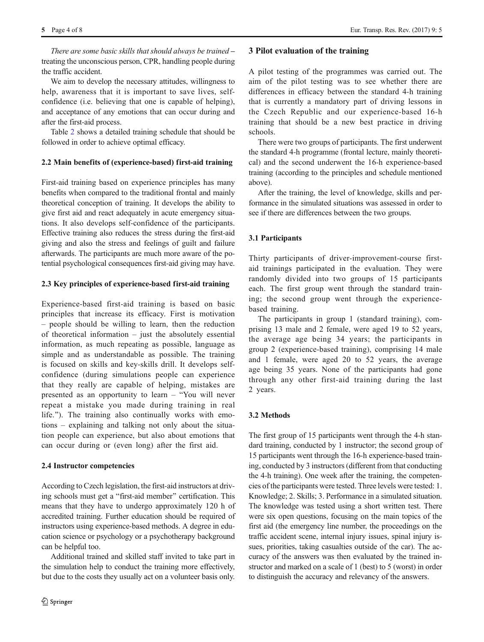There are some basic skills that should always be trained – treating the unconscious person, CPR, handling people during the traffic accident.

We aim to develop the necessary attitudes, willingness to help, awareness that it is important to save lives, selfconfidence (i.e. believing that one is capable of helping), and acceptance of any emotions that can occur during and after the first-aid process.

Table [2](#page-4-0) shows a detailed training schedule that should be followed in order to achieve optimal efficacy.

## 2.2 Main benefits of (experience-based) first-aid training

First-aid training based on experience principles has many benefits when compared to the traditional frontal and mainly theoretical conception of training. It develops the ability to give first aid and react adequately in acute emergency situations. It also develops self-confidence of the participants. Effective training also reduces the stress during the first-aid giving and also the stress and feelings of guilt and failure afterwards. The participants are much more aware of the potential psychological consequences first-aid giving may have.

# 2.3 Key principles of experience-based first-aid training

Experience-based first-aid training is based on basic principles that increase its efficacy. First is motivation – people should be willing to learn, then the reduction of theoretical information – just the absolutely essential information, as much repeating as possible, language as simple and as understandable as possible. The training is focused on skills and key-skills drill. It develops selfconfidence (during simulations people can experience that they really are capable of helping, mistakes are presented as an opportunity to learn - "You will never repeat a mistake you made during training in real life."). The training also continually works with emotions – explaining and talking not only about the situation people can experience, but also about emotions that can occur during or (even long) after the first aid.

## 2.4 Instructor competencies

According to Czech legislation, the first-aid instructors at driving schools must get a "first-aid member" certification. This means that they have to undergo approximately 120 h of accredited training. Further education should be required of instructors using experience-based methods. A degree in education science or psychology or a psychotherapy background can be helpful too.

Additional trained and skilled staff invited to take part in the simulation help to conduct the training more effectively, but due to the costs they usually act on a volunteer basis only.

# 3 Pilot evaluation of the training

A pilot testing of the programmes was carried out. The aim of the pilot testing was to see whether there are differences in efficacy between the standard 4-h training that is currently a mandatory part of driving lessons in the Czech Republic and our experience-based 16-h training that should be a new best practice in driving schools.

There were two groups of participants. The first underwent the standard 4-h programme (frontal lecture, mainly theoretical) and the second underwent the 16-h experience-based training (according to the principles and schedule mentioned above).

After the training, the level of knowledge, skills and performance in the simulated situations was assessed in order to see if there are differences between the two groups.

# 3.1 Participants

Thirty participants of driver-improvement-course firstaid trainings participated in the evaluation. They were randomly divided into two groups of 15 participants each. The first group went through the standard training; the second group went through the experiencebased training.

The participants in group 1 (standard training), comprising 13 male and 2 female, were aged 19 to 52 years, the average age being 34 years; the participants in group 2 (experience-based training), comprising 14 male and 1 female, were aged 20 to 52 years, the average age being 35 years. None of the participants had gone through any other first-aid training during the last 2 years.

# 3.2 Methods

The first group of 15 participants went through the 4-h standard training, conducted by 1 instructor; the second group of 15 participants went through the 16-h experience-based training, conducted by 3 instructors (different from that conducting the 4-h training). One week after the training, the competencies of the participants were tested. Three levels were tested: 1. Knowledge; 2. Skills; 3. Performance in a simulated situation. The knowledge was tested using a short written test. There were six open questions, focusing on the main topics of the first aid (the emergency line number, the proceedings on the traffic accident scene, internal injury issues, spinal injury issues, priorities, taking casualties outside of the car). The accuracy of the answers was then evaluated by the trained instructor and marked on a scale of 1 (best) to 5 (worst) in order to distinguish the accuracy and relevancy of the answers.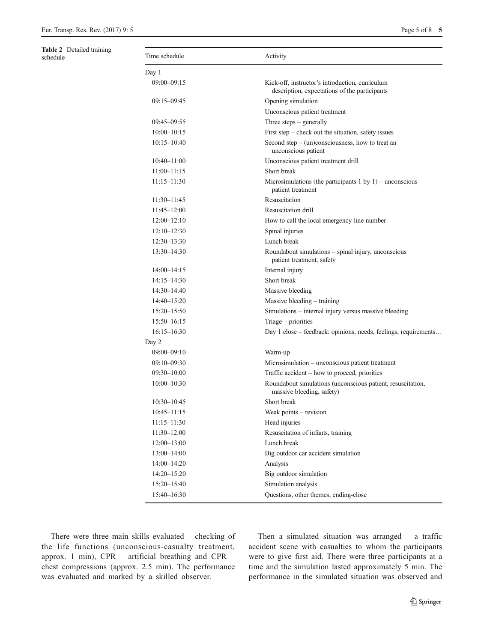<span id="page-4-0"></span>

| <b>Table 2</b> Detailed training<br>schedule | Time schedule   | Activity                                                                                         |
|----------------------------------------------|-----------------|--------------------------------------------------------------------------------------------------|
|                                              | Day 1           |                                                                                                  |
|                                              | $09:00 - 09:15$ | Kick-off, instructor's introduction, curriculum<br>description, expectations of the participants |
|                                              | $09:15 - 09:45$ | Opening simulation                                                                               |
|                                              |                 | Unconscious patient treatment                                                                    |
|                                              | $09:45 - 09:55$ | Three steps $-$ generally                                                                        |
|                                              | $10:00 - 10:15$ | First step $-$ check out the situation, safety issues                                            |
|                                              | $10:15 - 10:40$ | Second step $-$ (un)consciousness, how to treat an<br>unconscious patient                        |
|                                              | $10:40 - 11:00$ | Unconscious patient treatment drill                                                              |
|                                              | $11:00 - 11:15$ | Short break                                                                                      |
|                                              | $11:15 - 11:30$ | Microsimulations (the participants $1$ by $1$ ) – unconscious<br>patient treatment               |
|                                              | 11:30-11:45     | Resuscitation                                                                                    |
|                                              | $11:45 - 12:00$ | Resuscitation drill                                                                              |
|                                              | $12:00 - 12:10$ | How to call the local emergency-line number                                                      |
|                                              | $12:10 - 12:30$ | Spinal injuries                                                                                  |
|                                              | $12:30 - 13:30$ | Lunch break                                                                                      |
|                                              | 13:30-14:30     | Roundabout simulations - spinal injury, unconscious<br>patient treatment, safety                 |
|                                              | $14:00 - 14:15$ | Internal injury                                                                                  |
|                                              | $14:15 - 14:30$ | Short break                                                                                      |
|                                              | $14:30 - 14:40$ | Massive bleeding                                                                                 |
|                                              | $14:40 - 15:20$ | Massive bleeding $-$ training                                                                    |
|                                              | $15:20 - 15:50$ | Simulations - internal injury versus massive bleeding                                            |
|                                              | $15:50 - 16:15$ | Triage – priorities                                                                              |
|                                              | $16:15 - 16:30$ | Day 1 close – feedback: opinions, needs, feelings, requirements                                  |
|                                              | Day 2           |                                                                                                  |
|                                              | $09:00 - 09:10$ | Warm-up                                                                                          |
|                                              | $09:10 - 09:30$ | Microsimulation - unconscious patient treatment                                                  |
|                                              | $09:30 - 10:00$ | Traffic accident – how to proceed, priorities                                                    |
|                                              | $10:00 - 10:30$ | Roundabout simulations (unconscious patient, resuscitation,<br>massive bleeding, safety)         |
|                                              | $10:30 - 10:45$ | Short break                                                                                      |
|                                              | $10:45 - 11:15$ | Weak points - revision                                                                           |
|                                              | $11:15 - 11:30$ | Head injuries                                                                                    |
|                                              | 11:30-12:00     | Resuscitation of infants, training                                                               |
|                                              | $12:00 - 13:00$ | Lunch break                                                                                      |
|                                              | 13:00-14:00     | Big outdoor car accident simulation                                                              |
|                                              | 14:00-14:20     | Analysis                                                                                         |
|                                              | 14:20-15:20     | Big outdoor simulation                                                                           |
|                                              | 15:20-15:40     | Simulation analysis                                                                              |
|                                              | 15:40-16:30     | Questions, other themes, ending-close                                                            |

There were three main skills evaluated – checking of the life functions (unconscious-casualty treatment, approx. 1 min), CPR – artificial breathing and CPR – chest compressions (approx. 2.5 min). The performance was evaluated and marked by a skilled observer.

Then a simulated situation was arranged  $-$  a traffic accident scene with casualties to whom the participants were to give first aid. There were three participants at a time and the simulation lasted approximately 5 min. The performance in the simulated situation was observed and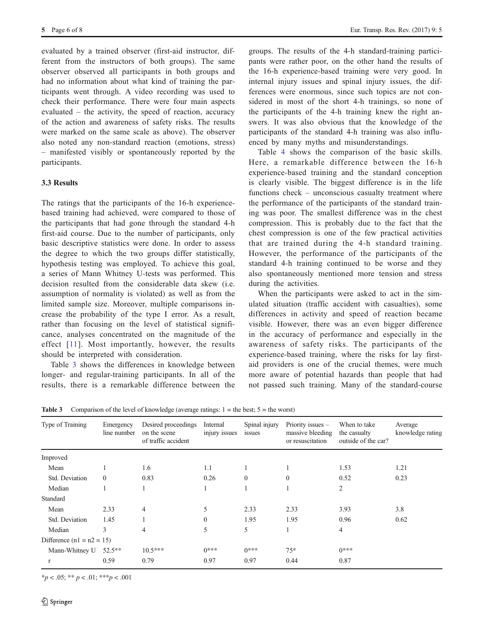<span id="page-5-0"></span>evaluated by a trained observer (first-aid instructor, different from the instructors of both groups). The same observer observed all participants in both groups and had no information about what kind of training the participants went through. A video recording was used to check their performance. There were four main aspects evaluated – the activity, the speed of reaction, accuracy of the action and awareness of safety risks. The results were marked on the same scale as above). The observer also noted any non-standard reaction (emotions, stress) – manifested visibly or spontaneously reported by the participants.

## 3.3 Results

The ratings that the participants of the 16-h experiencebased training had achieved, were compared to those of the participants that had gone through the standard 4-h first-aid course. Due to the number of participants, only basic descriptive statistics were done. In order to assess the degree to which the two groups differ statistically, hypothesis testing was employed. To achieve this goal, a series of Mann Whitney U-tests was performed. This decision resulted from the considerable data skew (i.e. assumption of normality is violated) as well as from the limited sample size. Moreover, multiple comparisons increase the probability of the type I error. As a result, rather than focusing on the level of statistical significance, analyses concentrated on the magnitude of the effect [[11\]](#page-7-0). Most importantly, however, the results should be interpreted with consideration.

Table 3 shows the differences in knowledge between longer- and regular-training participants. In all of the results, there is a remarkable difference between the groups. The results of the 4-h standard-training participants were rather poor, on the other hand the results of the 16-h experience-based training were very good. In internal injury issues and spinal injury issues, the differences were enormous, since such topics are not considered in most of the short 4-h trainings, so none of the participants of the 4-h training knew the right answers. It was also obvious that the knowledge of the participants of the standard 4-h training was also influenced by many myths and misunderstandings.

Table [4](#page-6-0) shows the comparison of the basic skills. Here, a remarkable difference between the 16-h experience-based training and the standard conception is clearly visible. The biggest difference is in the life functions check – unconscious casualty treatment where the performance of the participants of the standard training was poor. The smallest difference was in the chest compression. This is probably due to the fact that the chest compression is one of the few practical activities that are trained during the 4-h standard training. However, the performance of the participants of the standard 4-h training continued to be worse and they also spontaneously mentioned more tension and stress during the activities.

When the participants were asked to act in the simulated situation (traffic accident with casualties), some differences in activity and speed of reaction became visible. However, there was an even bigger difference in the accuracy of performance and especially in the awareness of safety risks. The participants of the experience-based training, where the risks for lay firstaid providers is one of the crucial themes, were much more aware of potential hazards than people that had not passed such training. Many of the standard-course

**Table 3** Comparison of the level of knowledge (average ratings:  $1 =$  the best;  $5 =$  the worst)

| Type of Training            | Emergency<br>line number | Desired proceedings<br>on the scene<br>of traffic accident | Internal<br>injury issues | Spinal injury<br>issues | Priority issues -<br>massive bleeding<br>or resuscitation | When to take<br>the casualty<br>outside of the car? | Average<br>knowledge rating |
|-----------------------------|--------------------------|------------------------------------------------------------|---------------------------|-------------------------|-----------------------------------------------------------|-----------------------------------------------------|-----------------------------|
| Improved                    |                          |                                                            |                           |                         |                                                           |                                                     |                             |
| Mean                        |                          | 1.6                                                        | 1.1                       |                         |                                                           | 1.53                                                | 1.21                        |
| Std. Deviation              | $\Omega$                 | 0.83                                                       | 0.26                      | $\overline{0}$          | $\Omega$                                                  | 0.52                                                | 0.23                        |
| Median                      |                          |                                                            | 1                         |                         |                                                           | $\overline{2}$                                      |                             |
| Standard                    |                          |                                                            |                           |                         |                                                           |                                                     |                             |
| Mean                        | 2.33                     | 4                                                          | 5                         | 2.33                    | 2.33                                                      | 3.93                                                | 3.8                         |
| Std. Deviation              | 1.45                     |                                                            | $\mathbf{0}$              | 1.95                    | 1.95                                                      | 0.96                                                | 0.62                        |
| Median                      | 3                        | 4                                                          | 5                         | 5                       | $\mathbf{I}$                                              | $\overline{4}$                                      |                             |
| Difference $(n1 = n2 = 15)$ |                          |                                                            |                           |                         |                                                           |                                                     |                             |
| Mann-Whitney U              | $52.5**$                 | $10.5***$                                                  | $0***$                    | $0***$                  | $75*$                                                     | $0***$                                              |                             |
| r                           | 0.59                     | 0.79                                                       | 0.97                      | 0.97                    | 0.44                                                      | 0.87                                                |                             |

 $*_p$  < .05;  $**_p$  < .01;  $***_p$  < .001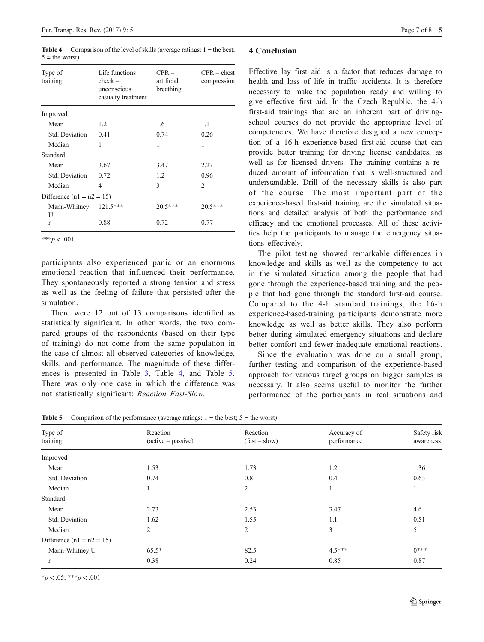<span id="page-6-0"></span>**Table 4** Comparison of the level of skills (average ratings:  $1 =$  the best;  $5 =$  the worst)

| Type of<br>training         | Life functions<br>$check -$<br>unconscious<br>casualty treatment | $CPR -$<br>artificial<br>breathing | $CPR - chest$<br>compression |  |
|-----------------------------|------------------------------------------------------------------|------------------------------------|------------------------------|--|
| Improved                    |                                                                  |                                    |                              |  |
| Mean                        | 1.2                                                              | 1.6                                | 1.1                          |  |
| Std. Deviation              | 0.41                                                             | 0.74                               | 0.26                         |  |
| Median                      | 1                                                                | 1                                  | 1                            |  |
| Standard                    |                                                                  |                                    |                              |  |
| Mean                        | 3.67                                                             | 3.47                               | 2.27                         |  |
| Std. Deviation              | 0.72                                                             | 1.2                                | 0.96                         |  |
| Median                      | 4                                                                | 3                                  | 2                            |  |
| Difference $(n1 = n2 = 15)$ |                                                                  |                                    |                              |  |
| Mann-Whitney<br>U           | 121.5***                                                         | $20.5***$                          | $20.5***$                    |  |
| r                           | 0.88                                                             | 0.72                               | 0.77                         |  |

\*\*\* $p < .001$ 

participants also experienced panic or an enormous emotional reaction that influenced their performance. They spontaneously reported a strong tension and stress as well as the feeling of failure that persisted after the simulation.

There were 12 out of 13 comparisons identified as statistically significant. In other words, the two compared groups of the respondents (based on their type of training) do not come from the same population in the case of almost all observed categories of knowledge, skills, and performance. The magnitude of these differences is presented in Table [3](#page-5-0), Table 4, and Table 5. There was only one case in which the difference was not statistically significant: Reaction Fast-Slow.

#### 4 Conclusion

Effective lay first aid is a factor that reduces damage to health and loss of life in traffic accidents. It is therefore necessary to make the population ready and willing to give effective first aid. In the Czech Republic, the 4-h first-aid trainings that are an inherent part of drivingschool courses do not provide the appropriate level of competencies. We have therefore designed a new conception of a 16-h experience-based first-aid course that can provide better training for driving license candidates, as well as for licensed drivers. The training contains a reduced amount of information that is well-structured and understandable. Drill of the necessary skills is also part of the course. The most important part of the experience-based first-aid training are the simulated situations and detailed analysis of both the performance and efficacy and the emotional processes. All of these activities help the participants to manage the emergency situations effectively.

The pilot testing showed remarkable differences in knowledge and skills as well as the competency to act in the simulated situation among the people that had gone through the experience-based training and the people that had gone through the standard first-aid course. Compared to the 4-h standard trainings, the 16-h experience-based-training participants demonstrate more knowledge as well as better skills. They also perform better during simulated emergency situations and declare better comfort and fewer inadequate emotional reactions.

Since the evaluation was done on a small group, further testing and comparison of the experience-based approach for various target groups on bigger samples is necessary. It also seems useful to monitor the further performance of the participants in real situations and

**Table 5** Comparison of the performance (average ratings:  $1 =$  the best;  $5 =$  the worst)

| Type of<br>training         | Reaction<br>(active - passive) | Reaction<br>$(fast - slow)$ | Accuracy of<br>performance | Safety risk<br>awareness |
|-----------------------------|--------------------------------|-----------------------------|----------------------------|--------------------------|
| Improved                    |                                |                             |                            |                          |
| Mean                        | 1.53                           | 1.73                        | 1.2                        | 1.36                     |
| Std. Deviation              | 0.74                           | 0.8                         | 0.4                        | 0.63                     |
| Median                      |                                | 2                           |                            | -1                       |
| Standard                    |                                |                             |                            |                          |
| Mean                        | 2.73                           | 2.53                        | 3.47                       | 4.6                      |
| Std. Deviation              | 1.62                           | 1.55                        | 1.1                        | 0.51                     |
| Median                      | 2                              | $\overline{c}$              | 3                          | 5                        |
| Difference $(n1 = n2 = 15)$ |                                |                             |                            |                          |
| Mann-Whitney U              | $65.5*$                        | 82,5                        | $4.5***$                   | $0***$                   |
| r                           | 0.38                           | 0.24                        | 0.85                       | 0.87                     |

 $*_{p}$  < .05; \*\*\*p < .001